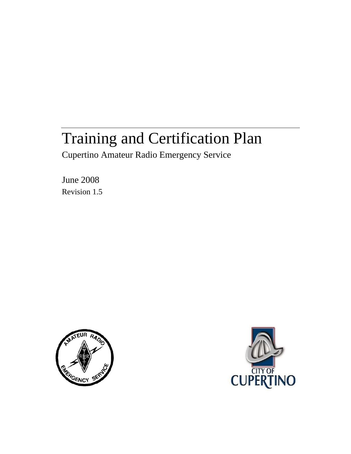# Training and Certification Plan

Cupertino Amateur Radio Emergency Service

June 2008 Revision 1.5



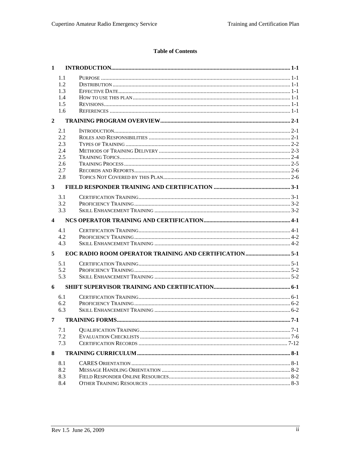# **Table of Contents**

| 1              |            |                        |        |
|----------------|------------|------------------------|--------|
|                | 1.1        |                        |        |
|                | 1.2        |                        |        |
|                | 1.3        |                        |        |
|                | 1.4        |                        |        |
|                | 1.5        |                        |        |
|                | 1.6        |                        |        |
| $\overline{2}$ |            |                        |        |
|                | 2.1        |                        |        |
|                | 2.2        |                        |        |
|                | 2.3        |                        |        |
|                | 2.4        |                        |        |
|                | 2.5        |                        |        |
|                | 2.6        |                        |        |
|                | 2.7<br>2.8 |                        |        |
|                |            |                        |        |
| $\mathbf{3}$   |            |                        |        |
|                | 3.1        |                        |        |
|                | 3.2        |                        |        |
|                | 3.3        |                        |        |
| 4              |            |                        |        |
|                | 4.1        |                        |        |
|                | 4.2        |                        |        |
|                | 4.3        |                        |        |
| 5 <sup>5</sup> |            |                        |        |
|                | 5.1        |                        |        |
|                | 5.2        |                        |        |
|                | 5.3        |                        |        |
| 6              |            |                        |        |
|                | 6.1        |                        |        |
|                | 6.2        |                        |        |
|                | 6.3        |                        |        |
| 7              |            | <b>TRAINING FORMS.</b> | $.7-1$ |
|                | 7.1        |                        |        |
|                | 7.2        |                        |        |
|                | 7.3        |                        |        |
| 8              |            |                        |        |
|                | 8.1        |                        |        |
|                | 8.2        |                        |        |
|                | 8.3        |                        |        |
|                | 8.4        |                        |        |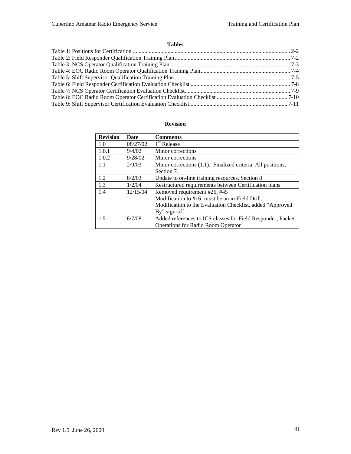# **Tables**

# **Revision**

| <b>Revision</b> | Date     | <b>Comments</b>                                             |
|-----------------|----------|-------------------------------------------------------------|
| 1.0             | 08/27/02 | 1 <sup>st</sup> Release                                     |
| 1.0.1           | 9/4/02   | Minor corrections                                           |
| 1.0.2           | 9/28/02  | Minor corrections                                           |
| 1.1             | 2/9/03   | Minor corrections (1.1). Finalized criteria, All positions, |
|                 |          | Section 7.                                                  |
| 1.2             | 8/2/03   | Update to on-line training resources, Section 8             |
| 1.3             | 1/2/04   | Restructured requirements between Certification plans       |
| 1.4             | 12/15/04 | Removed requirement #26, #45                                |
|                 |          | Modification to #16; must be an in-Field Drill.             |
|                 |          | Modification to the Evaluation Checklist, added "Approved"  |
|                 |          | By" sign-off.                                               |
| 1.5             | 6/7/08   | Added references to ICS classes for Field Responder; Packet |
|                 |          | <b>Operations for Radio Room Operator</b>                   |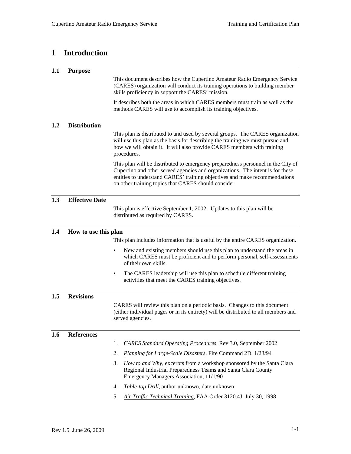# **1 Introduction**

| 1.1 | <b>Purpose</b>        |                                                                                                                                                                                                                                                                                                          |  |  |
|-----|-----------------------|----------------------------------------------------------------------------------------------------------------------------------------------------------------------------------------------------------------------------------------------------------------------------------------------------------|--|--|
|     |                       | This document describes how the Cupertino Amateur Radio Emergency Service<br>(CARES) organization will conduct its training operations to building member<br>skills proficiency in support the CARES' mission.                                                                                           |  |  |
|     |                       | It describes both the areas in which CARES members must train as well as the<br>methods CARES will use to accomplish its training objectives.                                                                                                                                                            |  |  |
| 1.2 | <b>Distribution</b>   |                                                                                                                                                                                                                                                                                                          |  |  |
|     |                       | This plan is distributed to and used by several groups. The CARES organization<br>will use this plan as the basis for describing the training we must pursue and<br>how we will obtain it. It will also provide CARES members with training<br>procedures.                                               |  |  |
|     |                       | This plan will be distributed to emergency preparedness personnel in the City of<br>Cupertino and other served agencies and organizations. The intent is for these<br>entities to understand CARES' training objectives and make recommendations<br>on other training topics that CARES should consider. |  |  |
| 1.3 | <b>Effective Date</b> |                                                                                                                                                                                                                                                                                                          |  |  |
|     |                       | This plan is effective September 1, 2002. Updates to this plan will be<br>distributed as required by CARES.                                                                                                                                                                                              |  |  |
| 1.4 | How to use this plan  |                                                                                                                                                                                                                                                                                                          |  |  |
|     |                       | This plan includes information that is useful by the entire CARES organization.                                                                                                                                                                                                                          |  |  |
|     |                       | New and existing members should use this plan to understand the areas in<br>$\bullet$<br>which CARES must be proficient and to perform personal, self-assessments<br>of their own skills.                                                                                                                |  |  |
|     |                       | The CARES leadership will use this plan to schedule different training<br>٠<br>activities that meet the CARES training objectives.                                                                                                                                                                       |  |  |
| 1.5 | <b>Revisions</b>      |                                                                                                                                                                                                                                                                                                          |  |  |
|     |                       | CARES will review this plan on a periodic basis. Changes to this document<br>(either individual pages or in its entirety) will be distributed to all members and<br>served agencies.                                                                                                                     |  |  |
| 1.6 | <b>References</b>     |                                                                                                                                                                                                                                                                                                          |  |  |
|     |                       | <b>CARES Standard Operating Procedures, Rev 3.0, September 2002</b><br>1.                                                                                                                                                                                                                                |  |  |
|     |                       | Planning for Large-Scale Disasters, Fire Command 2D, 1/23/94<br>2.                                                                                                                                                                                                                                       |  |  |
|     |                       | How to and Why, excerpts from a workshop sponsored by the Santa Clara<br>3.<br>Regional Industrial Preparedness Teams and Santa Clara County<br>Emergency Managers Association, 11/1/90                                                                                                                  |  |  |
|     |                       | Table-top Drill, author unknown, date unknown<br>4.                                                                                                                                                                                                                                                      |  |  |
|     |                       | 5.<br>Air Traffic Technical Training, FAA Order 3120.4J, July 30, 1998                                                                                                                                                                                                                                   |  |  |
|     |                       |                                                                                                                                                                                                                                                                                                          |  |  |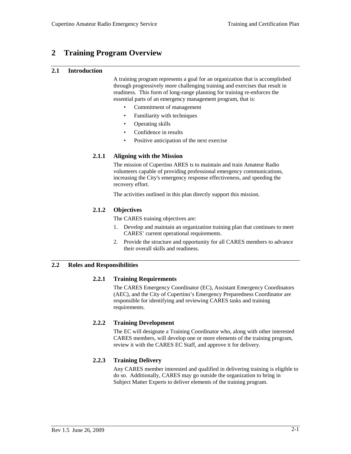# **2 Training Program Overview**

## **2.1 Introduction**

A training program represents a goal for an organization that is accomplished through progressively more challenging training and exercises that result in readiness. This form of long-range planning for training re-enforces the essential parts of an emergency management program, that is:

- Commitment of management
- Familiarity with techniques
- Operating skills
- Confidence in results
- Positive anticipation of the next exercise

# **2.1.1 Aligning with the Mission**

The mission of Cupertino ARES is to maintain and train Amateur Radio volunteers capable of providing professional emergency communications, increasing the City's emergency response effectiveness, and speeding the recovery effort.

The activities outlined in this plan directly support this mission.

# **2.1.2 Objectives**

The CARES training objectives are:

- 1. Develop and maintain an organization training plan that continues to meet CARES' current operational requirements.
- 2. Provide the structure and opportunity for all CARES members to advance their overall skills and readiness.

# **2.2 Roles and Responsibilities**

# **2.2.1 Training Requirements**

The CARES Emergency Coordinator (EC), Assistant Emergency Coordinators (AEC), and the City of Cupertino's Emergency Preparedness Coordinator are responsible for identifying and reviewing CARES tasks and training requirements.

# **2.2.2 Training Development**

The EC will designate a Training Coordinator who, along with other interested CARES members, will develop one or more elements of the training program, review it with the CARES EC Staff, and approve it for delivery.

# **2.2.3 Training Delivery**

Any CARES member interested and qualified in delivering training is eligible to do so. Additionally, CARES may go outside the organization to bring in Subject Matter Experts to deliver elements of the training program.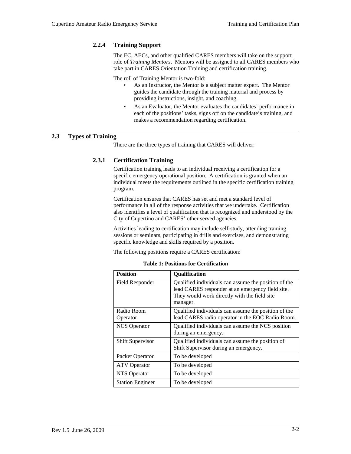# **2.2.4 Training Support**

The EC, AECs, and other qualified CARES members will take on the support role of *Training Mentors*. Mentors will be assigned to all CARES members who take part in CARES Orientation Training and certification training.

The roll of Training Mentor is two-fold:

- As an Instructor, the Mentor is a subject matter expert. The Mentor guides the candidate through the training material and process by providing instructions, insight, and coaching.
- As an Evaluator, the Mentor evaluates the candidates' performance in each of the positions' tasks, signs off on the candidate's training, and makes a recommendation regarding certification.

# **2.3 Types of Training**

There are the three types of training that CARES will deliver:

#### **2.3.1 Certification Training**

Certification training leads to an individual receiving a certification for a specific emergency operational position. A certification is granted when an individual meets the requirements outlined in the specific certification training program.

Certification ensures that CARES has set and met a standard level of performance in all of the response activities that we undertake. Certification also identifies a level of qualification that is recognized and understood by the City of Cupertino and CARES' other served agencies.

Activities leading to certification may include self-study, attending training sessions or seminars, participating in drills and exercises, and demonstrating specific knowledge and skills required by a position.

The following positions require a CARES certification:

| <b>Position</b>         | <b>Qualification</b>                                                                                                                                                 |
|-------------------------|----------------------------------------------------------------------------------------------------------------------------------------------------------------------|
| Field Responder         | Qualified individuals can assume the position of the<br>lead CARES responder at an emergency field site.<br>They would work directly with the field site<br>manager. |
| Radio Room<br>Operator  | Qualified individuals can assume the position of the<br>lead CARES radio operator in the EOC Radio Room.                                                             |
| <b>NCS</b> Operator     | Qualified individuals can assume the NCS position<br>during an emergency.                                                                                            |
| <b>Shift Supervisor</b> | Qualified individuals can assume the position of<br>Shift Supervisor during an emergency.                                                                            |
| Packet Operator         | To be developed                                                                                                                                                      |
| <b>ATV</b> Operator     | To be developed                                                                                                                                                      |
| NTS Operator            | To be developed                                                                                                                                                      |
| <b>Station Engineer</b> | To be developed                                                                                                                                                      |

**Table 1: Positions for Certification**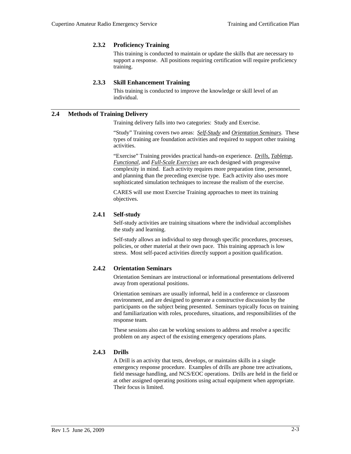## **2.3.2 Proficiency Training**

This training is conducted to maintain or update the skills that are necessary to support a response. All positions requiring certification will require proficiency training.

#### **2.3.3 Skill Enhancement Training**

This training is conducted to improve the knowledge or skill level of an individual.

# **2.4 Methods of Training Delivery**

Training delivery falls into two categories: Study and Exercise.

"Study" Training covers two areas: *Self-Study* and *Orientation Seminars*. These types of training are foundation activities and required to support other training activities.

"Exercise" Training provides practical hands-on experience. *Drills, Tabletop*, *Functional*, and *Full-Scale Exercises* are each designed with progressive complexity in mind. Each activity requires more preparation time, personnel, and planning than the preceding exercise type. Each activity also uses more sophisticated simulation techniques to increase the realism of the exercise.

CARES will use most Exercise Training approaches to meet its training objectives.

#### **2.4.1 Self-study**

Self-study activities are training situations where the individual accomplishes the study and learning.

Self-study allows an individual to step through specific procedures, processes, policies, or other material at their own pace. This training approach is low stress. Most self-paced activities directly support a position qualification.

# **2.4.2 Orientation Seminars**

Orientation Seminars are instructional or informational presentations delivered away from operational positions.

Orientation seminars are usually informal, held in a conference or classroom environment, and are designed to generate a constructive discussion by the participants on the subject being presented. Seminars typically focus on training and familiarization with roles, procedures, situations, and responsibilities of the response team.

These sessions also can be working sessions to address and resolve a specific problem on any aspect of the existing emergency operations plans.

#### **2.4.3 Drills**

A Drill is an activity that tests, develops, or maintains skills in a single emergency response procedure. Examples of drills are phone tree activations, field message handling, and NCS/EOC operations. Drills are held in the field or at other assigned operating positions using actual equipment when appropriate. Their focus is limited.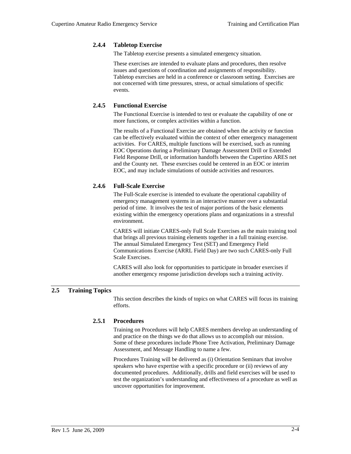#### **2.4.4 Tabletop Exercise**

The Tabletop exercise presents a simulated emergency situation.

These exercises are intended to evaluate plans and procedures, then resolve issues and questions of coordination and assignments of responsibility. Tabletop exercises are held in a conference or classroom setting. Exercises are not concerned with time pressures, stress, or actual simulations of specific events.

## **2.4.5 Functional Exercise**

The Functional Exercise is intended to test or evaluate the capability of one or more functions, or complex activities within a function.

The results of a Functional Exercise are obtained when the activity or function can be effectively evaluated within the context of other emergency management activities. For CARES, multiple functions will be exercised, such as running EOC Operations during a Preliminary Damage Assessment Drill or Extended Field Response Drill, or information handoffs between the Cupertino ARES net and the County net. These exercises could be centered in an EOC or interim EOC, and may include simulations of outside activities and resources.

# **2.4.6 Full-Scale Exercise**

The Full-Scale exercise is intended to evaluate the operational capability of emergency management systems in an interactive manner over a substantial period of time. It involves the test of major portions of the basic elements existing within the emergency operations plans and organizations in a stressful environment.

CARES will initiate CARES-only Full Scale Exercises as the main training tool that brings all previous training elements together in a full training exercise. The annual Simulated Emergency Test (SET) and Emergency Field Communications Exercise (ARRL Field Day) are two such CARES-only Full Scale Exercises.

CARES will also look for opportunities to participate in broader exercises if another emergency response jurisdiction develops such a training activity.

# **2.5 Training Topics**

This section describes the kinds of topics on what CARES will focus its training efforts.

# **2.5.1 Procedures**

Training on Procedures will help CARES members develop an understanding of and practice on the things we do that allows us to accomplish our mission. Some of these procedures include Phone Tree Activation, Preliminary Damage Assessment, and Message Handling to name a few.

Procedures Training will be delivered as (i) Orientation Seminars that involve speakers who have expertise with a specific procedure or (ii) reviews of any documented procedures. Additionally, drills and field exercises will be used to test the organization's understanding and effectiveness of a procedure as well as uncover opportunities for improvement.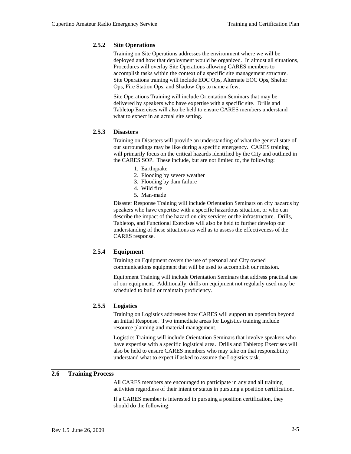#### **2.5.2 Site Operations**

Training on Site Operations addresses the environment where we will be deployed and how that deployment would be organized. In almost all situations, Procedures will overlay Site Operations allowing CARES members to accomplish tasks within the context of a specific site management structure. Site Operations training will include EOC Ops, Alternate EOC Ops, Shelter Ops, Fire Station Ops, and Shadow Ops to name a few.

Site Operations Training will include Orientation Seminars that may be delivered by speakers who have expertise with a specific site. Drills and Tabletop Exercises will also be held to ensure CARES members understand what to expect in an actual site setting.

#### **2.5.3 Disasters**

Training on Disasters will provide an understanding of what the general state of our surroundings may be like during a specific emergency. CARES training will primarily focus on the critical hazards identified by the City and outlined in the CARES SOP. These include, but are not limited to, the following:

- 1. Earthquake
- 2. Flooding by severe weather
- 3. Flooding by dam failure
- 4. Wild fire
- 5. Man-made

Disaster Response Training will include Orientation Seminars on city hazards by speakers who have expertise with a specific hazardous situation, or who can describe the impact of the hazard on city services or the infrastructure. Drills, Tabletop, and Functional Exercises will also be held to further develop our understanding of these situations as well as to assess the effectiveness of the CARES response.

# **2.5.4 Equipment**

Training on Equipment covers the use of personal and City owned communications equipment that will be used to accomplish our mission.

Equipment Training will include Orientation Seminars that address practical use of our equipment. Additionally, drills on equipment not regularly used may be scheduled to build or maintain proficiency.

# **2.5.5 Logistics**

Training on Logistics addresses how CARES will support an operation beyond an Initial Response. Two immediate areas for Logistics training include resource planning and material management.

Logistics Training will include Orientation Seminars that involve speakers who have expertise with a specific logistical area. Drills and Tabletop Exercises will also be held to ensure CARES members who may take on that responsibility understand what to expect if asked to assume the Logistics task.

## **2.6 Training Process**

All CARES members are encouraged to participate in any and all training activities regardless of their intent or status in pursuing a position certification.

If a CARES member is interested in pursuing a position certification, they should do the following: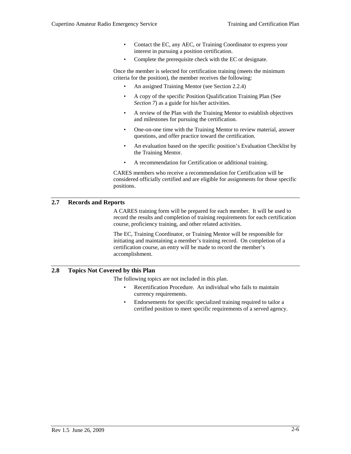- Contact the EC, any AEC, or Training Coordinator to express your interest in pursuing a position certification.
- Complete the prerequisite check with the EC or designate.

Once the member is selected for certification training (meets the minimum criteria for the position), the member receives the following:

- An assigned Training Mentor (see Section 2.2.4)
- A copy of the specific Position Qualification Training Plan (See *Section 7*) as a guide for his/her activities.
- A review of the Plan with the Training Mentor to establish objectives and milestones for pursuing the certification.
- One-on-one time with the Training Mentor to review material, answer questions, and offer practice toward the certification.
- An evaluation based on the specific position's Evaluation Checklist by the Training Mentor.
- A recommendation for Certification or additional training.

CARES members who receive a recommendation for Certification will be considered officially certified and are eligible for assignments for those specific positions.

# **2.7 Records and Reports**

A CARES training form will be prepared for each member. It will be used to record the results and completion of training requirements for each certification course, proficiency training, and other related activities.

The EC, Training Coordinator, or Training Mentor will be responsible for initiating and maintaining a member's training record. On completion of a certification course, an entry will be made to record the member's accomplishment.

# **2.8 Topics Not Covered by this Plan**

The following topics are not included in this plan.

- Recertification Procedure. An individual who fails to maintain currency requirements.
- Endorsements for specific specialized training required to tailor a certified position to meet specific requirements of a served agency.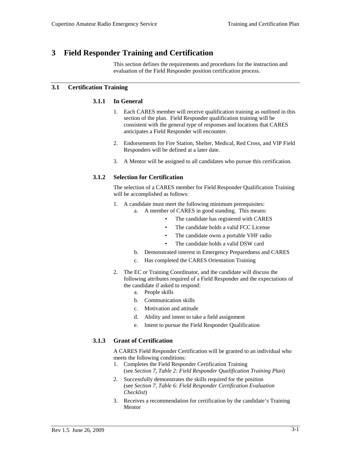# **3 Field Responder Training and Certification**

This section defines the requirements and procedures for the instruction and evaluation of the Field Responder position certification process.

# **3.1 Certification Training**

#### **3.1.1 In General**

- 1. Each CARES member will receive qualification training as outlined in this section of the plan. Field Responder qualification training will be consistent with the general type of responses and locations that CARES anticipates a Field Responder will encounter.
- 2. Endorsements for Fire Station, Shelter, Medical, Red Cross, and VIP Field Responders will be defined at a later date.
- 3. A Mentor will be assigned to all candidates who pursue this certification.

#### **3.1.2 Selection for Certification**

The selection of a CARES member for Field Responder Qualification Training will be accomplished as follows:

- 1. A candidate must meet the following minimum prerequisites:
	- a. A member of CARES in good standing. This means:
		- The candidate has registered with CARES
		- The candidate holds a valid FCC License
		- The candidate owns a portable VHF radio
		- The candidate holds a valid DSW card
	- b. Demonstrated interest in Emergency Preparedness and CARES
	- c. Has completed the CARES Orientation Training
- 2. The EC or Training Coordinator, and the candidate will discuss the following attributes required of a Field Responder and the expectations of the candidate if asked to respond:
	- a. People skills
	- b. Communication skills
	- c. Motivation and attitude
	- d. Ability and intent to take a field assignment
	- e. Intent to pursue the Field Responder Qualification

# **3.1.3 Grant of Certification**

A CARES Field Responder Certification will be granted to an individual who meets the following conditions:

- 1. Completes the Field Responder Certification Training (see *Section 7, Table 2: Field Responder Qualification Training Plan*)
- 2. Successfully demonstrates the skills required for the position (see *Section 7, Table 6: Field Responder Certification Evaluation Checklist*)
- 3. Receives a recommendation for certification by the candidate's Training Mentor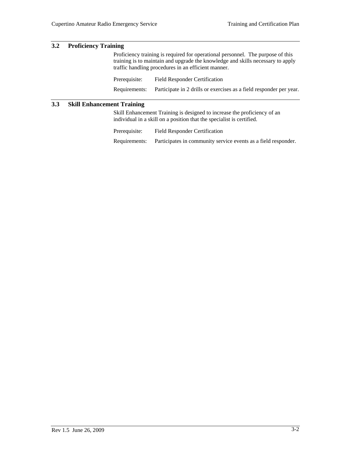# **3.2 Proficiency Training**

Proficiency training is required for operational personnel. The purpose of this training is to maintain and upgrade the knowledge and skills necessary to apply traffic handling procedures in an efficient manner.

Prerequisite: Field Responder Certification Requirements: Participate in 2 drills or exercises as a field responder per year.

# **3.3 Skill Enhancement Training**

Skill Enhancement Training is designed to increase the proficiency of an individual in a skill on a position that the specialist is certified.

| Prerequisite: | <b>Field Responder Certification</b>                           |
|---------------|----------------------------------------------------------------|
| Requirements: | Participates in community service events as a field responder. |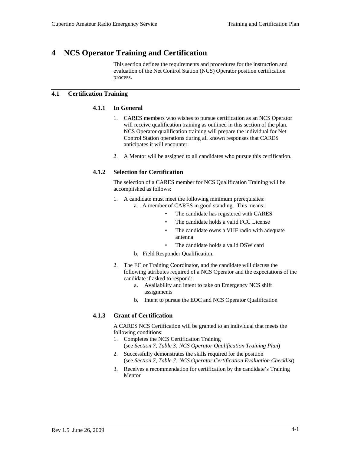# **4 NCS Operator Training and Certification**

This section defines the requirements and procedures for the instruction and evaluation of the Net Control Station (NCS) Operator position certification process.

## **4.1 Certification Training**

#### **4.1.1 In General**

- 1. CARES members who wishes to pursue certification as an NCS Operator will receive qualification training as outlined in this section of the plan. NCS Operator qualification training will prepare the individual for Net Control Station operations during all known responses that CARES anticipates it will encounter.
- 2. A Mentor will be assigned to all candidates who pursue this certification.

# **4.1.2 Selection for Certification**

The selection of a CARES member for NCS Qualification Training will be accomplished as follows:

- 1. A candidate must meet the following minimum prerequisites: a. A member of CARES in good standing. This means:
	- The candidate has registered with CARES
	- The candidate holds a valid FCC License
	- The candidate owns a VHF radio with adequate antenna
		- The candidate holds a valid DSW card
	- b. Field Responder Qualification.
- 2. The EC or Training Coordinator, and the candidate will discuss the following attributes required of a NCS Operator and the expectations of the candidate if asked to respond:
	- a. Availability and intent to take on Emergency NCS shift assignments
	- b. Intent to pursue the EOC and NCS Operator Qualification

# **4.1.3 Grant of Certification**

A CARES NCS Certification will be granted to an individual that meets the following conditions:

- 1. Completes the NCS Certification Training (see *Section 7, Table 3: NCS Operator Qualification Training Plan*)
- 2. Successfully demonstrates the skills required for the position (see *Section 7, Table 7: NCS Operator Certification Evaluation Checklist*)
- 3. Receives a recommendation for certification by the candidate's Training Mentor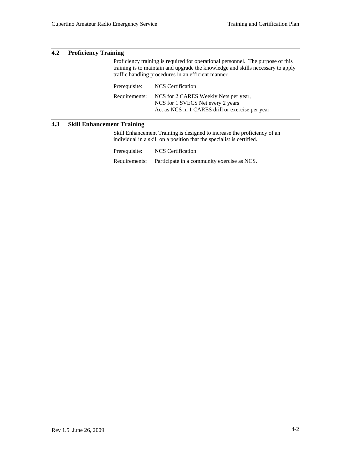# **4.2 Proficiency Training**

Proficiency training is required for operational personnel. The purpose of this training is to maintain and upgrade the knowledge and skills necessary to apply traffic handling procedures in an efficient manner.

| Prerequisite: | NCS Certification                                                                                                              |
|---------------|--------------------------------------------------------------------------------------------------------------------------------|
| Requirements: | NCS for 2 CARES Weekly Nets per year,<br>NCS for 1 SVECS Net every 2 years<br>Act as NCS in 1 CARES drill or exercise per year |

# **4.3 Skill Enhancement Training**

Skill Enhancement Training is designed to increase the proficiency of an individual in a skill on a position that the specialist is certified.

Prerequisite: NCS Certification Requirements: Participate in a community exercise as NCS.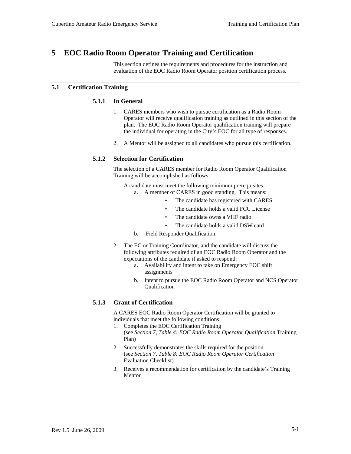# **5 EOC Radio Room Operator Training and Certification**

This section defines the requirements and procedures for the instruction and evaluation of the EOC Radio Room Operator position certification process.

# **5.1 Certification Training**

## **5.1.1 In General**

- 1. CARES members who wish to pursue certification as a Radio Room Operator will receive qualification training as outlined in this section of the plan. The EOC Radio Room Operator qualification training will prepare the individual for operating in the City's EOC for all type of responses.
- 2. A Mentor will be assigned to all candidates who pursue this certification.

# **5.1.2 Selection for Certification**

The selection of a CARES member for Radio Room Operator Qualification Training will be accomplished as follows:

- 1. A candidate must meet the following minimum prerequisites:
	- a. A member of CARES in good standing. This means:
		- The candidate has registered with CARES
		- The candidate holds a valid FCC License
		- The candidate owns a VHF radio
		- The candidate holds a valid DSW card
	- b. Field Responder Qualification.
- 2. The EC or Training Coordinator, and the candidate will discuss the following attributes required of an EOC Radio Room Operator and the expectations of the candidate if asked to respond:
	- a. Availability and intent to take on Emergency EOC shift assignments
	- b. Intent to pursue the EOC Radio Room Operator and NCS Operator Qualification

# **5.1.3 Grant of Certification**

A CARES EOC Radio Room Operator Certification will be granted to individuals that meet the following conditions:

- 1. Completes the EOC Certification Training (see *Section 7, Table 4: EOC Radio Room Operator Qualification* Training Plan)
- 2. Successfully demonstrates the skills required for the position (see *Section 7, Table 8: EOC Radio Room Operator Certification* Evaluation Checklist)
- 3. Receives a recommendation for certification by the candidate's Training Mentor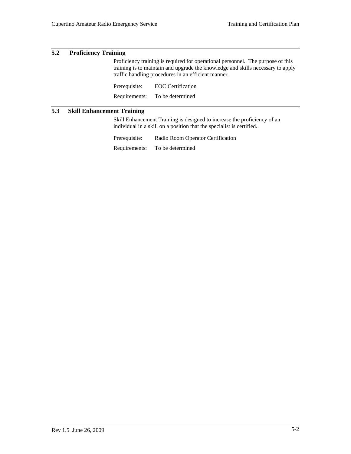# **5.2 Proficiency Training**

Proficiency training is required for operational personnel. The purpose of this training is to maintain and upgrade the knowledge and skills necessary to apply traffic handling procedures in an efficient manner.

Prerequisite: EOC Certification Requirements: To be determined

# **5.3 Skill Enhancement Training**

Skill Enhancement Training is designed to increase the proficiency of an individual in a skill on a position that the specialist is certified.

Prerequisite: Radio Room Operator Certification Requirements: To be determined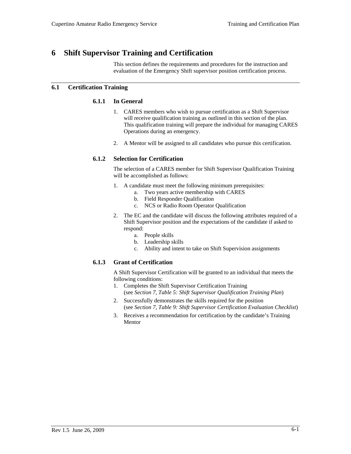# **6 Shift Supervisor Training and Certification**

This section defines the requirements and procedures for the instruction and evaluation of the Emergency Shift supervisor position certification process.

# **6.1 Certification Training**

## **6.1.1 In General**

- 1. CARES members who wish to pursue certification as a Shift Supervisor will receive qualification training as outlined in this section of the plan. This qualification training will prepare the individual for managing CARES Operations during an emergency.
- 2. A Mentor will be assigned to all candidates who pursue this certification.

# **6.1.2 Selection for Certification**

The selection of a CARES member for Shift Supervisor Qualification Training will be accomplished as follows:

- 1. A candidate must meet the following minimum prerequisites:
	- a. Two years active membership with CARES
	- b. Field Responder Qualification
	- c. NCS or Radio Room Operator Qualification
- 2. The EC and the candidate will discuss the following attributes required of a Shift Supervisor position and the expectations of the candidate if asked to respond:
	- a. People skills
	- b. Leadership skills
	- c. Ability and intent to take on Shift Supervision assignments

# **6.1.3 Grant of Certification**

A Shift Supervisor Certification will be granted to an individual that meets the following conditions:

- 1. Completes the Shift Supervisor Certification Training (see *Section 7, Table 5: Shift Supervisor Qualification Training Plan*)
- 2. Successfully demonstrates the skills required for the position (see *Section 7, Table 9: Shift Supervisor Certification Evaluation Checklist*)
- 3. Receives a recommendation for certification by the candidate's Training Mentor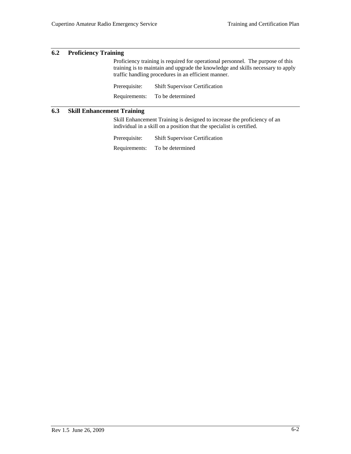## **6.2 Proficiency Training**

Proficiency training is required for operational personnel. The purpose of this training is to maintain and upgrade the knowledge and skills necessary to apply traffic handling procedures in an efficient manner.

Prerequisite: Shift Supervisor Certification Requirements: To be determined

# **6.3 Skill Enhancement Training**

Skill Enhancement Training is designed to increase the proficiency of an individual in a skill on a position that the specialist is certified.

Prerequisite: Shift Supervisor Certification Requirements: To be determined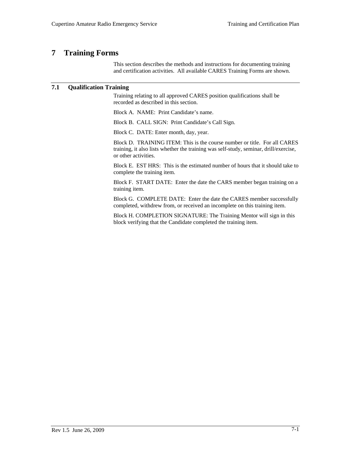# **7 Training Forms**

This section describes the methods and instructions for documenting training and certification activities. All available CARES Training Forms are shown.

# **7.1 Qualification Training**

Training relating to all approved CARES position qualifications shall be recorded as described in this section.

Block A. NAME: Print Candidate's name.

Block B. CALL SIGN: Print Candidate's Call Sign.

Block C. DATE: Enter month, day, year.

Block D. TRAINING ITEM: This is the course number or title. For all CARES training, it also lists whether the training was self-study, seminar, drill/exercise, or other activities.

Block E. EST HRS: This is the estimated number of hours that it should take to complete the training item.

Block F. START DATE: Enter the date the CARS member began training on a training item.

Block G. COMPLETE DATE: Enter the date the CARES member successfully completed, withdrew from, or received an incomplete on this training item.

Block H. COMPLETION SIGNATURE: The Training Mentor will sign in this block verifying that the Candidate completed the training item.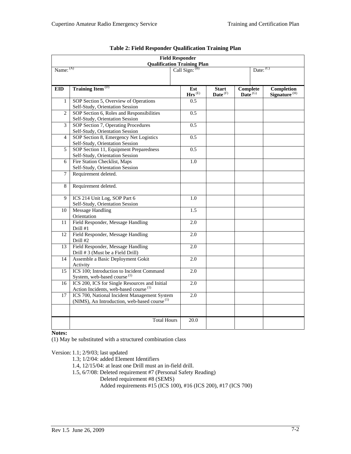| <b>Field Responder</b><br><b>Qualification Training Plan</b><br>Call Sign: <sup>(B)</sup> |                                                                                                          |                                      |                            |                                 |                                        |  |
|-------------------------------------------------------------------------------------------|----------------------------------------------------------------------------------------------------------|--------------------------------------|----------------------------|---------------------------------|----------------------------------------|--|
| Name: (A)                                                                                 |                                                                                                          |                                      |                            |                                 | Date: $(C)$                            |  |
|                                                                                           |                                                                                                          |                                      |                            |                                 |                                        |  |
| <b>EID</b>                                                                                | <b>Training Item<sup>(D)</sup></b>                                                                       | Est<br>$\mathbf{Hrs}^{(\mathrm{E})}$ | <b>Start</b><br>Date $(F)$ | Complete<br>Date <sup>(G)</sup> | Completion<br>Signature <sup>(H)</sup> |  |
| $\mathbf{1}$                                                                              | SOP Section 5, Overview of Operations<br>Self-Study, Orientation Session                                 | 0.5                                  |                            |                                 |                                        |  |
| $\overline{2}$                                                                            | SOP Section 6, Roles and Responsibilities<br>Self-Study, Orientation Session                             | 0.5                                  |                            |                                 |                                        |  |
| 3                                                                                         | SOP Section 7, Operating Procedures<br>Self-Study, Orientation Session                                   | 0.5                                  |                            |                                 |                                        |  |
| $\overline{4}$                                                                            | SOP Section 8, Emergency Net Logistics<br>Self-Study, Orientation Session                                | 0.5                                  |                            |                                 |                                        |  |
| 5                                                                                         | SOP Section 11, Equipment Preparedness<br>Self-Study, Orientation Session                                | 0.5                                  |                            |                                 |                                        |  |
| 6                                                                                         | Fire Station Checklist, Maps<br>Self-Study, Orientation Session                                          | 1.0                                  |                            |                                 |                                        |  |
| $\overline{7}$                                                                            | Requirement deleted.                                                                                     |                                      |                            |                                 |                                        |  |
| 8                                                                                         | Requirement deleted.                                                                                     |                                      |                            |                                 |                                        |  |
| $\mathbf Q$                                                                               | ICS 214 Unit Log, SOP Part 6<br>Self-Study, Orientation Session                                          | 1.0                                  |                            |                                 |                                        |  |
| 10                                                                                        | <b>Message Handling</b><br>Orientation                                                                   | 1.5                                  |                            |                                 |                                        |  |
| 11                                                                                        | Field Responder, Message Handling<br>Drill #1                                                            | 2.0                                  |                            |                                 |                                        |  |
| 12                                                                                        | Field Responder, Message Handling<br>Drill #2                                                            | 2.0                                  |                            |                                 |                                        |  |
| 13                                                                                        | Field Responder, Message Handling<br>Drill #3 (Must be a Field Drill)                                    | 2.0                                  |                            |                                 |                                        |  |
| 14                                                                                        | Assemble a Basic Deployment Gokit<br>Activity                                                            | 2.0                                  |                            |                                 |                                        |  |
| 15                                                                                        | ICS 100; Introduction to Incident Command<br>System, web-based course <sup>(1)</sup>                     | 2.0                                  |                            |                                 |                                        |  |
| 16                                                                                        | ICS 200, ICS for Single Resources and Initial<br>Action Incidents, web-based course <sup>(1)</sup>       | $\overline{2.0}$                     |                            |                                 |                                        |  |
| 17                                                                                        | ICS 700, National Incident Management System<br>(NIMS), An Introduction, web-based course <sup>(1)</sup> | 2.0                                  |                            |                                 |                                        |  |
|                                                                                           |                                                                                                          |                                      |                            |                                 |                                        |  |
|                                                                                           | <b>Total Hours</b>                                                                                       | 20.0                                 |                            |                                 |                                        |  |

| <b>Table 2: Field Responder Qualification Training Plan</b> |  |  |
|-------------------------------------------------------------|--|--|
|-------------------------------------------------------------|--|--|

**Notes:** 

(1) May be substituted with a structured combination class

Version: 1.1; 2/9/03; last updated

1.3; 1/2/04: added Element Identifiers

1.4, 12/15/04: at least one Drill must an in-field drill.

1.5, 6/7/08: Deleted requirement #7 (Personal Safety Reading)

Deleted requirement #8 (SEMS)

Added requirements #15 (ICS 100), #16 (ICS 200), #17 (ICS 700)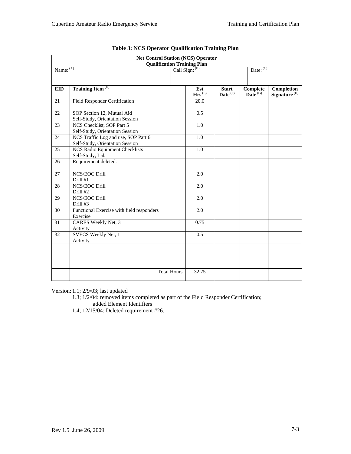| <b>Net Control Station (NCS) Operator</b><br><b>Qualification Training Plan</b> |                                                                        |                             |                            |                        |                                        |  |
|---------------------------------------------------------------------------------|------------------------------------------------------------------------|-----------------------------|----------------------------|------------------------|----------------------------------------|--|
| Name: (A)                                                                       |                                                                        | Call Sign: $(B)$            |                            | Date: $(C)$            |                                        |  |
|                                                                                 |                                                                        |                             |                            |                        |                                        |  |
| <b>EID</b>                                                                      | Training Item <sup>(D)</sup>                                           | Est<br>$\mathbf{Hrs}^{(E)}$ | <b>Start</b><br>Date $(F)$ | Complete<br>Date $(G)$ | Completion<br>Signature <sup>(H)</sup> |  |
| 21                                                                              | Field Responder Certification                                          | 20.0                        |                            |                        |                                        |  |
| 22                                                                              | SOP Section 12, Mutual Aid<br>Self-Study, Orientation Session          | 0.5                         |                            |                        |                                        |  |
| 23                                                                              | NCS Checklist, SOP Part 5<br>Self-Study, Orientation Session           | 1.0                         |                            |                        |                                        |  |
| 24                                                                              | NCS Traffic Log and use, SOP Part 6<br>Self-Study, Orientation Session | 1.0                         |                            |                        |                                        |  |
| 25                                                                              | <b>NCS Radio Equipment Checklists</b><br>Self-Study, Lab               | $1.0\,$                     |                            |                        |                                        |  |
| 26                                                                              | Requirement deleted.                                                   |                             |                            |                        |                                        |  |
| 27                                                                              | NCS/EOC Drill<br>Drill #1                                              | 2.0                         |                            |                        |                                        |  |
| 28                                                                              | <b>NCS/EOC Drill</b><br>Drill #2                                       | 2.0                         |                            |                        |                                        |  |
| 29                                                                              | <b>NCS/EOC Drill</b><br>Drill #3                                       | 2.0                         |                            |                        |                                        |  |
| 30                                                                              | Functional Exercise with field responders<br>Exercise                  | 2.0                         |                            |                        |                                        |  |
| 31                                                                              | CARES Weekly Net, 3<br>Activity                                        | 0.75                        |                            |                        |                                        |  |
| 32                                                                              | SVECS Weekly Net, 1<br>Activity                                        | 0.5                         |                            |                        |                                        |  |
|                                                                                 |                                                                        |                             |                            |                        |                                        |  |
|                                                                                 |                                                                        |                             |                            |                        |                                        |  |
|                                                                                 | <b>Total Hours</b>                                                     | 32.75                       |                            |                        |                                        |  |

|  | <b>Table 3: NCS Operator Qualification Training Plan</b> |
|--|----------------------------------------------------------|
|  |                                                          |

Version: 1.1; 2/9/03; last updated

1.3; 1/2/04: removed items completed as part of the Field Responder Certification; added Element Identifiers

1.4; 12/15/04: Deleted requirement #26.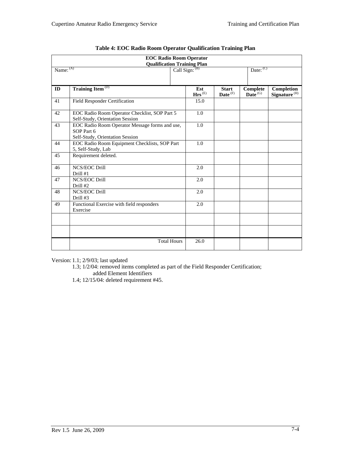| <b>EOC Radio Room Operator</b><br><b>Qualification Training Plan</b> |                                                                                                 |  |                             |                                     |                        |                                        |
|----------------------------------------------------------------------|-------------------------------------------------------------------------------------------------|--|-----------------------------|-------------------------------------|------------------------|----------------------------------------|
| Name: (A)                                                            |                                                                                                 |  | Call Sign: (B)              |                                     | Date: $(C)$            |                                        |
|                                                                      |                                                                                                 |  |                             |                                     |                        |                                        |
| ID                                                                   | Training Item <sup>(D)</sup>                                                                    |  | Est<br>$\mathbf{Hrs}^{(E)}$ | <b>Start</b><br>Date <sup>(F)</sup> | Complete<br>Date $(G)$ | Completion<br>Signature <sup>(H)</sup> |
| 41                                                                   | Field Responder Certification                                                                   |  | 15.0                        |                                     |                        |                                        |
| 42                                                                   | EOC Radio Room Operator Checklist, SOP Part 5<br>Self-Study, Orientation Session                |  | 1.0                         |                                     |                        |                                        |
| 43                                                                   | EOC Radio Room Operator Message forms and use,<br>SOP Part 6<br>Self-Study, Orientation Session |  | 1.0                         |                                     |                        |                                        |
| 44                                                                   | EOC Radio Room Equipment Checklists, SOP Part<br>5, Self-Study, Lab                             |  | 1.0                         |                                     |                        |                                        |
| 45                                                                   | Requirement deleted.                                                                            |  |                             |                                     |                        |                                        |
| 46                                                                   | <b>NCS/EOC Drill</b><br>Drill #1                                                                |  | 2.0                         |                                     |                        |                                        |
| 47                                                                   | <b>NCS/EOC Drill</b><br>Drill #2                                                                |  | 2.0                         |                                     |                        |                                        |
| 48                                                                   | NCS/EOC Drill<br>Drill #3                                                                       |  | 2.0                         |                                     |                        |                                        |
| 49                                                                   | Functional Exercise with field responders<br>Exercise                                           |  | 2.0                         |                                     |                        |                                        |
|                                                                      |                                                                                                 |  |                             |                                     |                        |                                        |
|                                                                      |                                                                                                 |  |                             |                                     |                        |                                        |
|                                                                      | <b>Total Hours</b>                                                                              |  | 26.0                        |                                     |                        |                                        |

|  |  |  | Table 4: EOC Radio Room Operator Qualification Training Plan |
|--|--|--|--------------------------------------------------------------|
|  |  |  |                                                              |

Version: 1.1; 2/9/03; last updated

1.3; 1/2/04: removed items completed as part of the Field Responder Certification;

added Element Identifiers

1.4; 12/15/04: deleted requirement #45.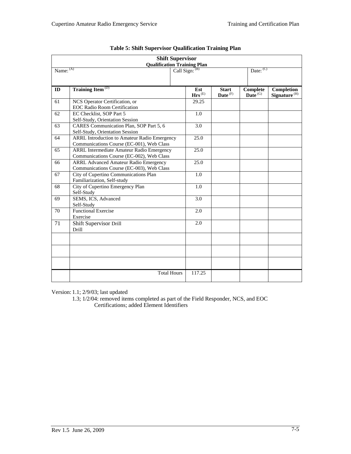| <b>Shift Supervisor</b><br><b>Qualification Training Plan</b> |                                                                                           |                             |                            |                              |                                        |
|---------------------------------------------------------------|-------------------------------------------------------------------------------------------|-----------------------------|----------------------------|------------------------------|----------------------------------------|
| Name: (A)                                                     |                                                                                           | Call Sign: (B)              |                            | Date: $(C)$                  |                                        |
| ID                                                            | Training Item <sup>(D)</sup>                                                              | Est<br>$\mathbf{Hrs}^{(E)}$ | <b>Start</b><br>Date $(F)$ | Complete<br>Date $\rm^{(G)}$ | Completion<br>Signature <sup>(H)</sup> |
| 61                                                            | NCS Operator Certification, or<br><b>EOC Radio Room Certification</b>                     | 29.25                       |                            |                              |                                        |
| 62                                                            | EC Checklist, SOP Part 5<br>Self-Study, Orientation Session                               | 1.0                         |                            |                              |                                        |
| 63                                                            | CARES Communication Plan, SOP Part 5, 6<br>Self-Study, Orientation Session                | 3.0                         |                            |                              |                                        |
| 64                                                            | ARRL Introduction to Amateur Radio Emergency<br>Communications Course (EC-001), Web Class | 25.0                        |                            |                              |                                        |
| 65                                                            | ARRL Intermediate Amateur Radio Emergency<br>Communications Course (EC-002), Web Class    | 25.0                        |                            |                              |                                        |
| 66                                                            | <b>ARRL Advanced Amateur Radio Emergency</b><br>Communications Course (EC-003), Web Class | 25.0                        |                            |                              |                                        |
| 67                                                            | City of Cupertino Communications Plan<br>Familiarization, Self-study                      | 1.0                         |                            |                              |                                        |
| 68                                                            | City of Cupertino Emergency Plan<br>Self-Study                                            | 1.0                         |                            |                              |                                        |
| 69                                                            | SEMS, ICS, Advanced<br>Self-Study                                                         | 3.0                         |                            |                              |                                        |
| 70                                                            | <b>Functional Exercise</b><br>Exercise                                                    | 2.0                         |                            |                              |                                        |
| 71                                                            | Shift Supervisor Drill<br>Drill                                                           | 2.0                         |                            |                              |                                        |
|                                                               |                                                                                           |                             |                            |                              |                                        |
|                                                               |                                                                                           |                             |                            |                              |                                        |
|                                                               |                                                                                           |                             |                            |                              |                                        |
|                                                               | <b>Total Hours</b>                                                                        | 117.25                      |                            |                              |                                        |

| <b>Table 5: Shift Supervisor Qualification Training Plan</b> |  |  |  |  |  |
|--------------------------------------------------------------|--|--|--|--|--|
|--------------------------------------------------------------|--|--|--|--|--|

Version: 1.1; 2/9/03; last updated

1.3; 1/2/04: removed items completed as part of the Field Responder, NCS, and EOC Certifications; added Element Identifiers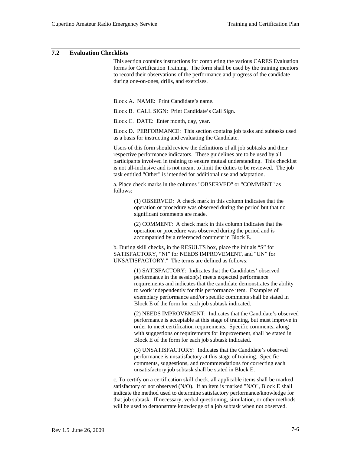#### **7.2 Evaluation Checklists**

This section contains instructions for completing the various CARES Evaluation forms for Certification Training. The form shall be used by the training mentors to record their observations of the performance and progress of the candidate during one-on-ones, drills, and exercises.

Block A. NAME: Print Candidate's name.

Block B. CALL SIGN: Print Candidate's Call Sign.

Block C. DATE: Enter month, day, year.

Block D. PERFORMANCE: This section contains job tasks and subtasks used as a basis for instructing and evaluating the Candidate.

Users of this form should review the definitions of all job subtasks and their respective performance indicators. These guidelines are to be used by all participants involved in training to ensure mutual understanding. This checklist is not all-inclusive and is not meant to limit the duties to be reviewed. The job task entitled "Other" is intended for additional use and adaptation.

a. Place check marks in the columns "OBSERVED" or "COMMENT" as follows:

> (1) OBSERVED: A check mark in this column indicates that the operation or procedure was observed during the period but that no significant comments are made.

(2) COMMENT: A check mark in this column indicates that the operation or procedure was observed during the period and is accompanied by a referenced comment in Block E.

b. During skill checks, in the RESULTS box, place the initials "S" for SATISFACTORY, "NI" for NEEDS IMPROVEMENT, and "UN" for UNSATISFACTORY." The terms are defined as follows:

> (1) SATISFACTORY: Indicates that the Candidates' observed performance in the session(s) meets expected performance requirements and indicates that the candidate demonstrates the ability to work independently for this performance item. Examples of exemplary performance and/or specific comments shall be stated in Block E of the form for each job subtask indicated.

(2) NEEDS IMPROVEMENT: Indicates that the Candidate's observed performance is acceptable at this stage of training, but must improve in order to meet certification requirements. Specific comments, along with suggestions or requirements for improvement, shall be stated in Block E of the form for each job subtask indicated.

(3) UNSATISFACTORY: Indicates that the Candidate's observed performance is unsatisfactory at this stage of training. Specific comments, suggestions, and recommendations for correcting each unsatisfactory job subtask shall be stated in Block E.

c. To certify on a certification skill check, all applicable items shall be marked satisfactory or not observed (N/O). If an item is marked "N/O", Block E shall indicate the method used to determine satisfactory performance/knowledge for that job subtask. If necessary, verbal questioning, simulation, or other methods will be used to demonstrate knowledge of a job subtask when not observed.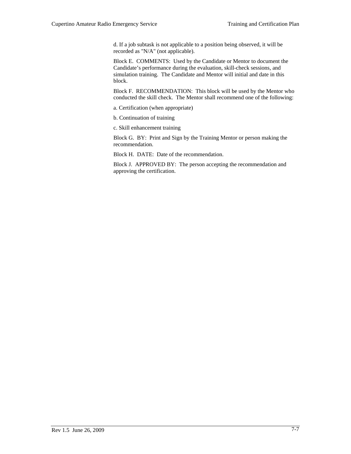d. If a job subtask is not applicable to a position being observed, it will be recorded as "N/A" (not applicable).

Block E. COMMENTS: Used by the Candidate or Mentor to document the Candidate's performance during the evaluation, skill-check sessions, and simulation training. The Candidate and Mentor will initial and date in this block.

Block F. RECOMMENDATION: This block will be used by the Mentor who conducted the skill check. The Mentor shall recommend one of the following:

a. Certification (when appropriate)

b. Continuation of training

c. Skill enhancement training

Block G. BY: Print and Sign by the Training Mentor or person making the recommendation.

Block H. DATE: Date of the recommendation.

Block J. APPROVED BY: The person accepting the recommendation and approving the certification.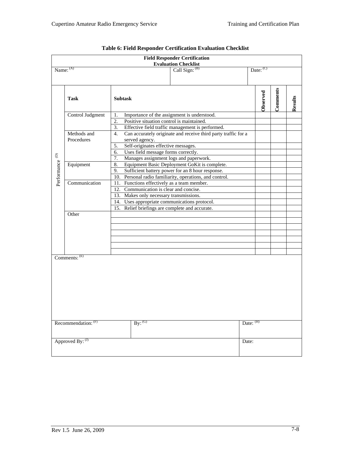| <b>Field Responder Certification</b><br><b>Evaluation Checklist</b> |                         |                                                                                           |             |          |         |
|---------------------------------------------------------------------|-------------------------|-------------------------------------------------------------------------------------------|-------------|----------|---------|
| Name: (A)                                                           |                         | Call Sign: $(B)$                                                                          | Date: (C)   |          |         |
|                                                                     | <b>Task</b>             | <b>Subtask</b>                                                                            | Observed    | Comments | Results |
|                                                                     | Control Judgment        | Importance of the assignment is understood.<br>1.                                         |             |          |         |
|                                                                     |                         | 2.<br>Positive situation control is maintained.                                           |             |          |         |
|                                                                     |                         | Effective field traffic management is performed.<br>3.                                    |             |          |         |
|                                                                     | Methods and             | Can accurately originate and receive third party traffic for a<br>4.                      |             |          |         |
|                                                                     | Procedures              | served agency.                                                                            |             |          |         |
|                                                                     |                         | Self-originates effective messages.<br>5.                                                 |             |          |         |
| $\widehat{\ominus}$                                                 |                         | Uses field message forms correctly.<br>6.<br>Manages assignment logs and paperwork.<br>7. |             |          |         |
|                                                                     | Equipment               | 8.<br>Equipment Basic Deployment GoKit is complete.                                       |             |          |         |
| Performance                                                         |                         | 9.<br>Sufficient battery power for an 8 hour response.                                    |             |          |         |
|                                                                     |                         | 10. Personal radio familiarity, operations, and control.                                  |             |          |         |
|                                                                     | Communication           | 11. Functions effectively as a team member.                                               |             |          |         |
|                                                                     |                         | 12. Communication is clear and concise.                                                   |             |          |         |
|                                                                     |                         | 13. Makes only necessary transmissions.                                                   |             |          |         |
|                                                                     |                         | 14. Uses appropriate communications protocol.                                             |             |          |         |
|                                                                     |                         | 15. Relief briefings are complete and accurate.                                           |             |          |         |
|                                                                     | Other                   |                                                                                           |             |          |         |
|                                                                     |                         |                                                                                           |             |          |         |
|                                                                     |                         |                                                                                           |             |          |         |
|                                                                     |                         |                                                                                           |             |          |         |
|                                                                     |                         |                                                                                           |             |          |         |
|                                                                     |                         |                                                                                           |             |          |         |
|                                                                     |                         |                                                                                           |             |          |         |
|                                                                     | Comment: <sup>(E)</sup> |                                                                                           |             |          |         |
|                                                                     |                         |                                                                                           |             |          |         |
|                                                                     |                         |                                                                                           |             |          |         |
|                                                                     |                         |                                                                                           |             |          |         |
|                                                                     |                         |                                                                                           |             |          |         |
|                                                                     |                         |                                                                                           |             |          |         |
|                                                                     |                         |                                                                                           |             |          |         |
|                                                                     |                         |                                                                                           |             |          |         |
|                                                                     |                         |                                                                                           |             |          |         |
|                                                                     |                         |                                                                                           |             |          |         |
|                                                                     | Recommendation: (F)     | $\overline{\mathrm{By:}}^{(\mathrm{G})}$                                                  | Date: $(H)$ |          |         |
|                                                                     |                         |                                                                                           |             |          |         |
|                                                                     |                         |                                                                                           |             |          |         |
|                                                                     | Approved By: (J)        |                                                                                           | Date:       |          |         |
|                                                                     |                         |                                                                                           |             |          |         |
|                                                                     |                         |                                                                                           |             |          |         |

# **Table 6: Field Responder Certification Evaluation Checklist**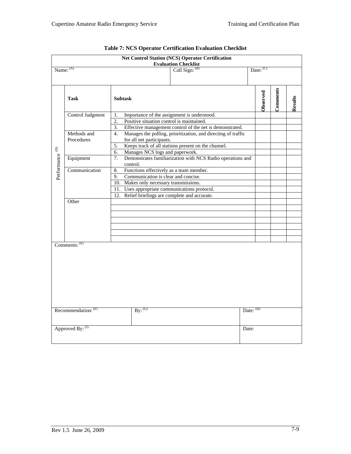|                                      |                                      |                                                                                                                                                                                                                                              | <b>Net Control Station (NCS) Operator Certification</b><br><b>Evaluation Checklist</b> |           |             |          |         |
|--------------------------------------|--------------------------------------|----------------------------------------------------------------------------------------------------------------------------------------------------------------------------------------------------------------------------------------------|----------------------------------------------------------------------------------------|-----------|-------------|----------|---------|
|                                      | Name: (A)                            |                                                                                                                                                                                                                                              | Call Sign: $(B)$                                                                       |           | Date: $(C)$ |          |         |
|                                      | <b>Task</b>                          | <b>Subtask</b>                                                                                                                                                                                                                               |                                                                                        |           | Observed    | Comments | Results |
|                                      | Control Judgment                     | Importance of the assignment is understood.<br>1.<br>$\overline{2}$ .<br>Positive situation control is maintained.<br>Effective management control of the net is demonstrated.<br>$\overline{3}$ .                                           |                                                                                        |           |             |          |         |
|                                      | Methods and<br>Procedures            | Manages the polling, prioritization, and directing of traffic<br>4.<br>for all net participants.<br>Keeps track of all stations present on the channel.<br>5.<br>Manages NCS logs and paperwork.<br>6.                                       |                                                                                        |           |             |          |         |
|                                      | Equipment                            | Demonstrates familiarization with NCS Radio operations and<br>7.<br>control.                                                                                                                                                                 |                                                                                        |           |             |          |         |
| Performance $^{\textrm{\tiny{(D)}}}$ | Communication                        | 8.<br>Functions effectively as a team member.<br>Communication is clear and concise.<br>9.<br>10. Makes only necessary transmissions.<br>11. Uses appropriate communications protocol.<br>Relief briefings are complete and accurate.<br>12. |                                                                                        |           |             |          |         |
|                                      | Other                                |                                                                                                                                                                                                                                              |                                                                                        |           |             |          |         |
|                                      | Comments: (E)<br>Recommendation: (F) | $By:$ <sup>(G)</sup>                                                                                                                                                                                                                         |                                                                                        | Date: (H) |             |          |         |
| Approved By: (J)                     |                                      |                                                                                                                                                                                                                                              |                                                                                        | Date:     |             |          |         |
|                                      |                                      |                                                                                                                                                                                                                                              |                                                                                        |           |             |          |         |

|  | Table 7: NCS Operator Certification Evaluation Checklist |  |  |
|--|----------------------------------------------------------|--|--|
|--|----------------------------------------------------------|--|--|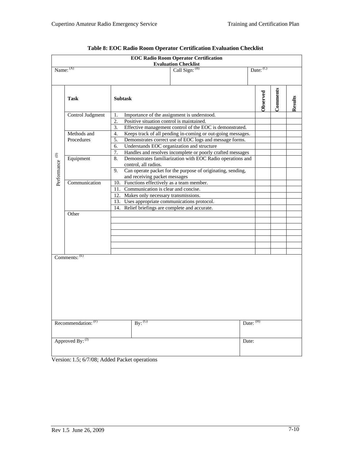|                                    |                                         | <b>EOC Radio Room Operator Certification</b><br><b>Evaluation Checklist</b>                                                                                                                                                                                |             |          |         |  |  |
|------------------------------------|-----------------------------------------|------------------------------------------------------------------------------------------------------------------------------------------------------------------------------------------------------------------------------------------------------------|-------------|----------|---------|--|--|
|                                    | Name: (A)                               | Call Sign: $(B)$                                                                                                                                                                                                                                           | Date: $(C)$ |          |         |  |  |
|                                    | <b>Task</b>                             | <b>Subtask</b>                                                                                                                                                                                                                                             | Observed    | Comments | Results |  |  |
|                                    | Control Judgment                        | Importance of the assignment is understood.<br>1.<br>2.<br>Positive situation control is maintained.<br>3.<br>Effective management control of the EOC is demonstrated.                                                                                     |             |          |         |  |  |
|                                    | Methods and<br>Procedures               | Keeps track of all pending in-coming or out-going messages.<br>4.<br>Demonstrates correct use of EOC logs and message forms.<br>5.<br>Understands EOC organization and structure<br>6.<br>Handles and resolves incomplete or poorly crafted messages<br>7. |             |          |         |  |  |
| $\widehat{\ominus}$<br>Performance | Equipment                               | Demonstrates familiarization with EOC Radio operations and<br>8.<br>control, all radios.<br>Can operate packet for the purpose of originating, sending,<br>9.<br>and receiving packet messages                                                             |             |          |         |  |  |
|                                    | Communication                           | 10. Functions effectively as a team member.<br>Communication is clear and concise.<br>11.<br>12. Makes only necessary transmissions.<br>13. Uses appropriate communications protocol.<br>14. Relief briefings are complete and accurate.                   |             |          |         |  |  |
|                                    | Other                                   |                                                                                                                                                                                                                                                            |             |          |         |  |  |
|                                    | Comments: (E)                           |                                                                                                                                                                                                                                                            |             |          |         |  |  |
|                                    | Recommendation: (F)<br>Approved By: (J) | $\overline{\mathrm{By:}}^{(\mathrm{G})}$<br>Date:                                                                                                                                                                                                          | Date: (H)   |          |         |  |  |
|                                    |                                         |                                                                                                                                                                                                                                                            |             |          |         |  |  |

| Table 8: EOC Radio Room Operator Certification Evaluation Checklist |  |  |
|---------------------------------------------------------------------|--|--|
|                                                                     |  |  |

Version: 1.5; 6/7/08; Added Packet operations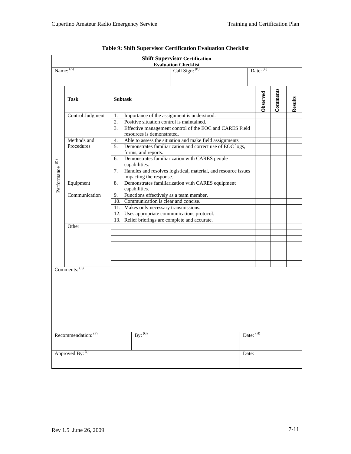|                                                                                 |                                         |                               |  | <b>Shift Supervisor Certification</b>                          |  |           |                                        |          |         |
|---------------------------------------------------------------------------------|-----------------------------------------|-------------------------------|--|----------------------------------------------------------------|--|-----------|----------------------------------------|----------|---------|
|                                                                                 |                                         |                               |  | <b>Evaluation Checklist</b>                                    |  |           |                                        |          |         |
| Name: $(A)$                                                                     |                                         |                               |  | Call Sign: (B)                                                 |  |           | $\overline{\text{Date:}}^{\text{(C)}}$ |          |         |
|                                                                                 |                                         |                               |  |                                                                |  |           |                                        |          |         |
|                                                                                 | <b>Task</b>                             | <b>Subtask</b>                |  |                                                                |  |           | Observed                               | Comments | Results |
|                                                                                 | Control Judgment                        | 1.                            |  | Importance of the assignment is understood.                    |  |           |                                        |          |         |
|                                                                                 |                                         | $\overline{2}$ .              |  | Positive situation control is maintained.                      |  |           |                                        |          |         |
|                                                                                 |                                         | 3.                            |  | Effective management control of the EOC and CARES Field        |  |           |                                        |          |         |
|                                                                                 |                                         | resources is demonstrated.    |  |                                                                |  |           |                                        |          |         |
|                                                                                 | Methods and                             | 4.                            |  | Able to assess the situation and make field assignments        |  |           |                                        |          |         |
|                                                                                 | Procedures                              | 5.                            |  | Demonstrates familiarization and correct use of EOC logs,      |  |           |                                        |          |         |
|                                                                                 |                                         | forms, and reports.           |  |                                                                |  |           |                                        |          |         |
|                                                                                 |                                         | 6.<br>capabilities.           |  | Demonstrates familiarization with CARES people                 |  |           |                                        |          |         |
| Performance <sup>(D)</sup>                                                      |                                         | 7.                            |  | Handles and resolves logistical, material, and resource issues |  |           |                                        |          |         |
|                                                                                 | Equipment                               | impacting the response.<br>8. |  | Demonstrates familiarization with CARES equipment              |  |           |                                        |          |         |
|                                                                                 |                                         |                               |  |                                                                |  |           |                                        |          |         |
| capabilities.<br>Communication<br>Functions effectively as a team member.<br>9. |                                         |                               |  |                                                                |  |           |                                        |          |         |
|                                                                                 | 10. Communication is clear and concise. |                               |  |                                                                |  |           |                                        |          |         |
|                                                                                 | 11. Makes only necessary transmissions. |                               |  |                                                                |  |           |                                        |          |         |
|                                                                                 |                                         |                               |  |                                                                |  |           |                                        |          |         |
| 12. Uses appropriate communications protocol.                                   |                                         |                               |  |                                                                |  |           |                                        |          |         |
| 13. Relief briefings are complete and accurate.<br>Other                        |                                         |                               |  |                                                                |  |           |                                        |          |         |
|                                                                                 |                                         |                               |  |                                                                |  |           |                                        |          |         |
|                                                                                 |                                         |                               |  |                                                                |  |           |                                        |          |         |
|                                                                                 |                                         |                               |  |                                                                |  |           |                                        |          |         |
|                                                                                 |                                         |                               |  |                                                                |  |           |                                        |          |         |
|                                                                                 |                                         |                               |  |                                                                |  |           |                                        |          |         |
|                                                                                 |                                         |                               |  |                                                                |  |           |                                        |          |         |
|                                                                                 | Comments: (E)                           |                               |  |                                                                |  |           |                                        |          |         |
|                                                                                 |                                         |                               |  |                                                                |  |           |                                        |          |         |
|                                                                                 |                                         |                               |  |                                                                |  |           |                                        |          |         |
|                                                                                 |                                         |                               |  |                                                                |  |           |                                        |          |         |
|                                                                                 |                                         |                               |  |                                                                |  |           |                                        |          |         |
|                                                                                 |                                         |                               |  |                                                                |  |           |                                        |          |         |
|                                                                                 |                                         |                               |  |                                                                |  |           |                                        |          |         |
|                                                                                 |                                         |                               |  |                                                                |  |           |                                        |          |         |
|                                                                                 |                                         |                               |  |                                                                |  |           |                                        |          |         |
|                                                                                 |                                         |                               |  |                                                                |  |           |                                        |          |         |
|                                                                                 | Recommendation: (F)                     | By: (G)                       |  |                                                                |  | Date: (H) |                                        |          |         |
|                                                                                 |                                         |                               |  |                                                                |  |           |                                        |          |         |
|                                                                                 |                                         |                               |  |                                                                |  |           |                                        |          |         |
|                                                                                 | Approved By: (J)                        |                               |  |                                                                |  | Date:     |                                        |          |         |
|                                                                                 |                                         |                               |  |                                                                |  |           |                                        |          |         |
|                                                                                 |                                         |                               |  |                                                                |  |           |                                        |          |         |

| Table 9: Shift Supervisor Certification Evaluation Checklist |
|--------------------------------------------------------------|
|--------------------------------------------------------------|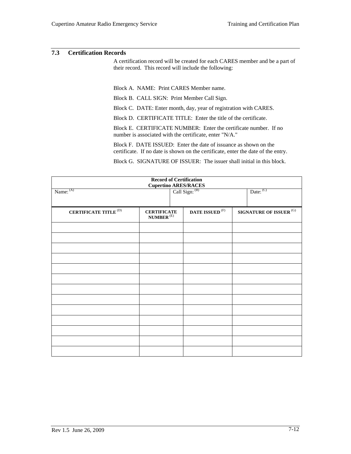#### **7.3 Certification Records**

A certification record will be created for each CARES member and be a part of their record. This record will include the following:

Block A. NAME: Print CARES Member name.

Block B. CALL SIGN: Print Member Call Sign.

Block C. DATE: Enter month, day, year of registration with CARES.

Block D. CERTIFICATE TITLE: Enter the title of the certificate.

Block E. CERTIFICATE NUMBER: Enter the certificate number. If no number is associated with the certificate, enter "N/A."

Block F. DATE ISSUED: Enter the date of issuance as shown on the certificate. If no date is shown on the certificate, enter the date of the entry.

Block G. SIGNATURE OF ISSUER: The issuer shall initial in this block.

| <b>Record of Certification</b><br>Cupertino ARES/RACES<br>  Call Sign: (B) |                                                        |                          |                                   |  |
|----------------------------------------------------------------------------|--------------------------------------------------------|--------------------------|-----------------------------------|--|
| Name: (A)                                                                  |                                                        |                          | Date: $(C)$                       |  |
| CERTIFICATE TITLE $^{(D)}$                                                 | <b>CERTIFICATE</b><br>$\mathbf{NUMBER}^{(\mathrm{E})}$ | DATE ISSUED $^{\rm (F)}$ | SIGNATURE OF ISSUER $^{\rm{(G)}}$ |  |
|                                                                            |                                                        |                          |                                   |  |
|                                                                            |                                                        |                          |                                   |  |
|                                                                            |                                                        |                          |                                   |  |
|                                                                            |                                                        |                          |                                   |  |
|                                                                            |                                                        |                          |                                   |  |
|                                                                            |                                                        |                          |                                   |  |
|                                                                            |                                                        |                          |                                   |  |
|                                                                            |                                                        |                          |                                   |  |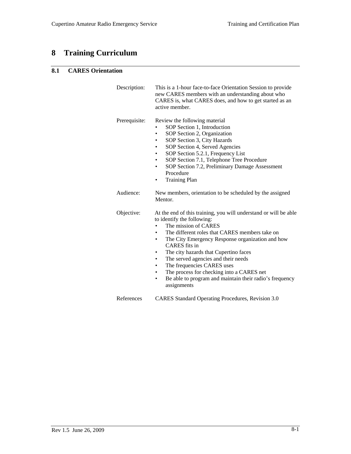# **8 Training Curriculum**

# **8.1 CARES Orientation**

| Description:  | This is a 1-hour face-to-face Orientation Session to provide<br>new CARES members with an understanding about who<br>CARES is, what CARES does, and how to get started as an<br>active member.                                                                                                                                                                                                                                                                                                                 |
|---------------|----------------------------------------------------------------------------------------------------------------------------------------------------------------------------------------------------------------------------------------------------------------------------------------------------------------------------------------------------------------------------------------------------------------------------------------------------------------------------------------------------------------|
| Prerequisite: | Review the following material<br>SOP Section 1, Introduction<br>SOP Section 2, Organization<br>$\bullet$<br>SOP Section 3, City Hazards<br>SOP Section 4, Served Agencies<br>SOP Section 5.2.1, Frequency List<br>٠<br>SOP Section 7.1, Telephone Tree Procedure<br>SOP Section 7.2, Preliminary Damage Assessment<br>٠<br>Procedure<br><b>Training Plan</b><br>٠                                                                                                                                              |
| Audience:     | New members, orientation to be scheduled by the assigned<br>Mentor.                                                                                                                                                                                                                                                                                                                                                                                                                                            |
| Objective:    | At the end of this training, you will understand or will be able<br>to identify the following:<br>The mission of CARES<br>The different roles that CARES members take on<br>The City Emergency Response organization and how<br>CARES fits in<br>The city hazards that Cupertino faces<br>The served agencies and their needs<br>٠<br>The frequencies CARES uses<br>٠<br>The process for checking into a CARES net<br>$\bullet$<br>Be able to program and maintain their radio's frequency<br>٠<br>assignments |
| References    | CARES Standard Operating Procedures, Revision 3.0                                                                                                                                                                                                                                                                                                                                                                                                                                                              |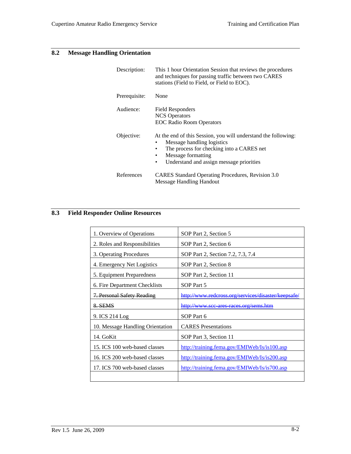# **8.2 Message Handling Orientation**

| Description:  | This 1 hour Orientation Session that reviews the procedures<br>and techniques for passing traffic between two CARES<br>stations (Field to Field, or Field to EOC).                                                                                      |
|---------------|---------------------------------------------------------------------------------------------------------------------------------------------------------------------------------------------------------------------------------------------------------|
| Prerequisite: | None                                                                                                                                                                                                                                                    |
| Audience:     | <b>Field Responders</b><br><b>NCS</b> Operators<br><b>EOC Radio Room Operators</b>                                                                                                                                                                      |
| Objective:    | At the end of this Session, you will understand the following:<br>Message handling logistics<br>٠<br>The process for checking into a CARES net<br>$\bullet$<br>Message formatting<br>$\bullet$<br>Understand and assign message priorities<br>$\bullet$ |
| References    | CARES Standard Operating Procedures, Revision 3.0<br>Message Handling Handout                                                                                                                                                                           |

# **8.3 Field Responder Online Resources**

| SOP Part 2, Section 5                               |
|-----------------------------------------------------|
| SOP Part 2, Section 6                               |
| SOP Part 2, Section 7.2, 7.3, 7.4                   |
| SOP Part 2, Section 8                               |
| SOP Part 2, Section 11                              |
| SOP Part 5                                          |
| http://www.redcross.org/services/disaster/keepsafe/ |
| http://www.scc_ares_races.org/sems.htm              |
| SOP Part 6                                          |
| <b>CARES</b> Presentations                          |
| SOP Part 3, Section 11                              |
| http://training.fema.gov/EMIWeb/Is/is100.asp        |
| http://training.fema.gov/EMIWeb/Is/is200.asp        |
| http://training.fema.gov/EMIWeb/Is/is700.asp        |
|                                                     |
|                                                     |